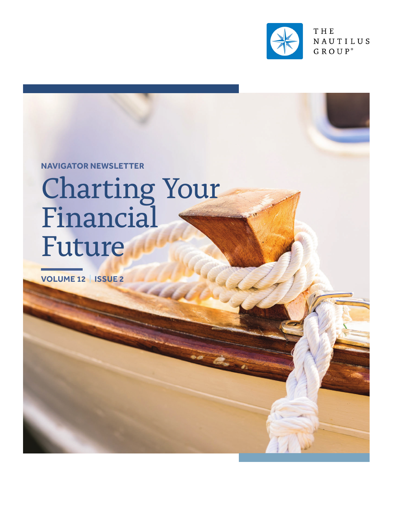

THE NAUTILUS GROUP<sup>®</sup>

**NAVIGATOR NEWSLETTER**

# Charting Your Financial Future

**VOLUME 12 | ISSUE 2**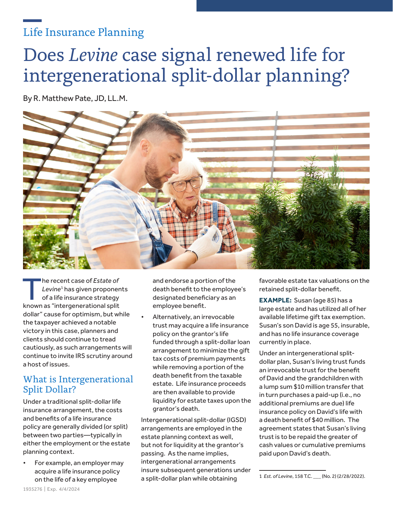### Life Insurance Planning

# Does *Levine* case signal renewed life for intergenerational split-dollar planning?

By R. Matthew Pate, JD, LL.M.



The recent case of *Estate of*<br> *Levine<sup>1</sup>* has given proponer<br>
of a life insurance strategy<br> **Expanse "interseparational split**" *Levine*<sup>1</sup> has given proponents known as "intergenerational split dollar" cause for optimism, but while the taxpayer achieved a notable victory in this case, planners and clients should continue to tread cautiously, as such arrangements will continue to invite IRS scrutiny around a host of issues.

#### What is Intergenerational Split Dollar?

Under a traditional split-dollar life insurance arrangement, the costs and benefits of a life insurance policy are generally divided (or split) between two parties—typically in either the employment or the estate planning context.

• For example, an employer may acquire a life insurance policy on the life of a key employee

and endorse a portion of the death benefit to the employee's designated beneficiary as an employee benefit.

Alternatively, an irrevocable trust may acquire a life insurance policy on the grantor's life funded through a split-dollar loan arrangement to minimize the gift tax costs of premium payments while removing a portion of the death benefit from the taxable estate. Life insurance proceeds are then available to provide liquidity for estate taxes upon the grantor's death.

Intergenerational split-dollar (IGSD) arrangements are employed in the estate planning context as well, but not for liquidity at the grantor's passing. As the name implies, intergenerational arrangements insure subsequent generations under a split-dollar plan while obtaining

favorable estate tax valuations on the retained split-dollar benefit.

**EXAMPLE:** Susan (age 85) has a large estate and has utilized all of her available lifetime gift tax exemption. Susan's son David is age 55, insurable, and has no life insurance coverage currently in place.

Under an intergenerational splitdollar plan, Susan's living trust funds an irrevocable trust for the benefit of David and the grandchildren with a lump sum \$10 million transfer that in turn purchases a paid-up (i.e., no additional premiums are due) life insurance policy on David's life with a death benefit of \$40 million. The agreement states that Susan's living trust is to be repaid the greater of cash values or cumulative premiums paid upon David's death.

<sup>1</sup> *Est. of Levine*, 158 T.C. \_\_\_ (No. 2) (2/28/2022).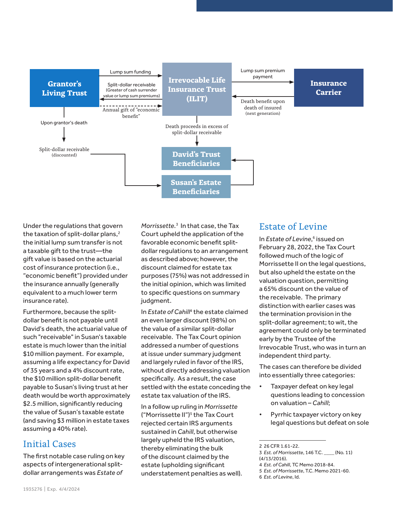

Under the regulations that govern the taxation of split-dollar plans, $2$ the initial lump sum transfer is not a taxable gift to the trust—the gift value is based on the actuarial cost of insurance protection (i.e., "economic benefit") provided under the insurance annually (generally equivalent to a much lower term insurance rate).

Furthermore, because the splitdollar benefit is not payable until David's death, the actuarial value of such "receivable" in Susan's taxable estate is much lower than the initial \$10 million payment. For example, assuming a life expectancy for David of 35 years and a 4% discount rate, the \$10 million split-dollar benefit payable to Susan's living trust at her death would be worth approximately \$2.5 million, significantly reducing the value of Susan's taxable estate (and saving \$3 million in estate taxes assuming a 40% rate).

#### Initial Cases

The first notable case ruling on key aspects of intergenerational splitdollar arrangements was *Estate of* 

*Morrissette*. 3 In that case, the Tax Court upheld the application of the favorable economic benefit splitdollar regulations to an arrangement as described above; however, the discount claimed for estate tax purposes (75%) was not addressed in the initial opinion, which was limited to specific questions on summary judgment.

In *Estate of Cahill<sup>4</sup>* the estate claimed an even larger discount (98%) on the value of a similar split-dollar receivable. The Tax Court opinion addressed a number of questions at issue under summary judgment and largely ruled in favor of the IRS, without directly addressing valuation specifically. As a result, the case settled with the estate conceding the estate tax valuation of the IRS.

In a follow up ruling in *Morrissette* ("Morrissette II")<sup>5</sup> the Tax Court rejected certain IRS arguments sustained in *Cahill*, but otherwise largely upheld the IRS valuation, thereby eliminating the bulk of the discount claimed by the estate (upholding significant understatement penalties as well).

#### Estate of Levine

In *Estate of Levine*,<sup>6</sup> issued on February 28, 2022, the Tax Court followed much of the logic of Morrissette II on the legal questions, but also upheld the estate on the valuation question, permitting a 65% discount on the value of the receivable. The primary distinction with earlier cases was the termination provision in the split-dollar agreement; to wit, the agreement could only be terminated early by the Trustee of the Irrevocable Trust, who was in turn an independent third party.

The cases can therefore be divided into essentially three categories:

- Taxpayer defeat on key legal questions leading to concession on valuation – *Cahill*;
- Pyrrhic taxpayer victory on key legal questions but defeat on sole

<sup>2 26</sup> CFR 1.61-22.

<sup>3</sup> *Est. of Morrissette*, 146 T.C. \_\_\_\_ (No. 11) (4/13/2016).

<sup>4</sup> *Est. of Cahill*, TC Memo 2018-84.

<sup>5</sup> *Est. of Morrissette*, T.C. Memo 2021-60.

<sup>6</sup> *Est. of Levine*, Id.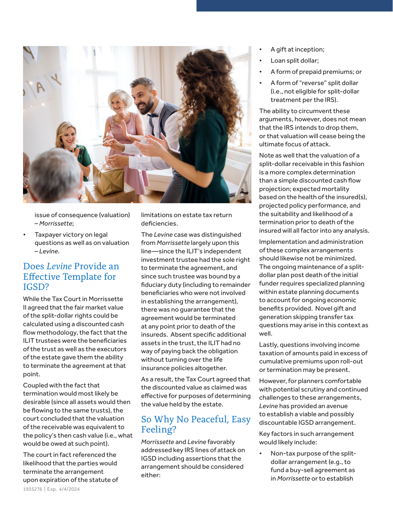

issue of consequence (valuation) – *Morrissette*;

Taxpayer victory on legal questions as well as on valuation – *Levine*.

#### Does *Levine* Provide an Effective Template for IGSD?

While the Tax Court in Morrissette II agreed that the fair market value of the split-dollar rights could be calculated using a discounted cash flow methodology, the fact that the ILIT trustees were the beneficiaries of the trust as well as the executors of the estate gave them the ability to terminate the agreement at that point.

Coupled with the fact that termination would most likely be desirable (since all assets would then be flowing to the same trusts), the court concluded that the valuation of the receivable was equivalent to the policy's then cash value (i.e., what would be owed at such point).

The court in fact referenced the likelihood that the parties would terminate the arrangement upon expiration of the statute of limitations on estate tax return deficiencies.

The *Levine* case was distinguished from *Morrissette* largely upon this line—since the ILIT's independent investment trustee had the sole right to terminate the agreement, and since such trustee was bound by a fiduciary duty (including to remainder beneficiaries who were not involved in establishing the arrangement), there was no guarantee that the agreement would be terminated at any point prior to death of the insureds. Absent specific additional assets in the trust, the ILIT had no way of paying back the obligation without turning over the life insurance policies altogether.

As a result, the Tax Court agreed that the discounted value as claimed was effective for purposes of determining the value held by the estate.

#### So Why No Peaceful, Easy Feeling?

*Morrissette* and *Levine* favorably addressed key IRS lines of attack on IGSD including assertions that the arrangement should be considered either:

- A gift at inception;
- Loan split dollar;
- A form of prepaid premiums; or
- A form of "reverse" split dollar (i.e., not eligible for split-dollar treatment per the IRS).

The ability to circumvent these arguments, however, does not mean that the IRS intends to drop them, or that valuation will cease being the ultimate focus of attack.

Note as well that the valuation of a split-dollar receivable in this fashion is a more complex determination than a simple discounted cash flow projection; expected mortality based on the health of the insured(s), projected policy performance, and the suitability and likelihood of a termination prior to death of the insured will all factor into any analysis.

Implementation and administration of these complex arrangements should likewise not be minimized. The ongoing maintenance of a splitdollar plan post death of the initial funder requires specialized planning within estate planning documents to account for ongoing economic benefits provided. Novel gift and generation skipping transfer tax questions may arise in this context as well.

Lastly, questions involving income taxation of amounts paid in excess of cumulative premiums upon roll-out or termination may be present.

However, for planners comfortable with potential scrutiny and continued challenges to these arrangements, *Levine* has provided an avenue to establish a viable and possibly discountable IGSD arrangement.

Key factors in such arrangement would likely include:

• Non-tax purpose of the splitdollar arrangement (e.g., to fund a buy-sell agreement as in *Morrissette* or to establish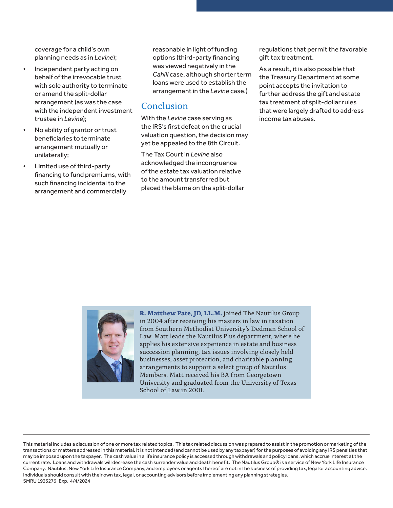coverage for a child's own planning needs as in *Levine*);

- Independent party acting on behalf of the irrevocable trust with sole authority to terminate or amend the split-dollar arrangement (as was the case with the independent investment trustee in *Levine*);
- No ability of grantor or trust beneficiaries to terminate arrangement mutually or unilaterally;
- Limited use of third-party financing to fund premiums, with such financing incidental to the arrangement and commercially

reasonable in light of funding options (third-party financing was viewed negatively in the *Cahill* case, although shorter term loans were used to establish the arrangement in the *Levine* case.)

#### Conclusion

With the *Levine* case serving as the IRS's first defeat on the crucial valuation question, the decision may yet be appealed to the 8th Circuit.

The Tax Court in *Levine* also acknowledged the incongruence of the estate tax valuation relative to the amount transferred but placed the blame on the split-dollar regulations that permit the favorable gift tax treatment.

As a result, it is also possible that the Treasury Department at some point accepts the invitation to further address the gift and estate tax treatment of split-dollar rules that were largely drafted to address income tax abuses.



**R. Matthew Pate, JD, LL.M.** joined The Nautilus Group in 2004 after receiving his masters in law in taxation from Southern Methodist University's Dedman School of Law. Matt leads the Nautilus Plus department, where he applies his extensive experience in estate and business succession planning, tax issues involving closely held businesses, asset protection, and charitable planning arrangements to support a select group of Nautilus Members. Matt received his BA from Georgetown University and graduated from the University of Texas School of Law in 2001.

This material includes a discussion of one or more tax related topics. This tax related discussion was prepared to assist in the promotion or marketing of the transactions or matters addressed in this material. It is not intended (and cannot be used by any taxpayer) for the purposes of avoiding any IRS penalties that may be imposed upon the taxpayer. The cash value in a life insurance policy is accessed through withdrawals and policy loans, which accrue interest at the current rate. Loans and withdrawals will decrease the cash surrender value and death benefit. The Nautilus Group® is a service of New York Life Insurance Company. Nautilus, New York Life Insurance Company, and employees or agents thereof are not in the business of providing tax, legal or accounting advice. Individuals should consult with their own tax, legal, or accounting advisors before implementing any planning strategies. SMRU 1935276 Exp. 4/4/2024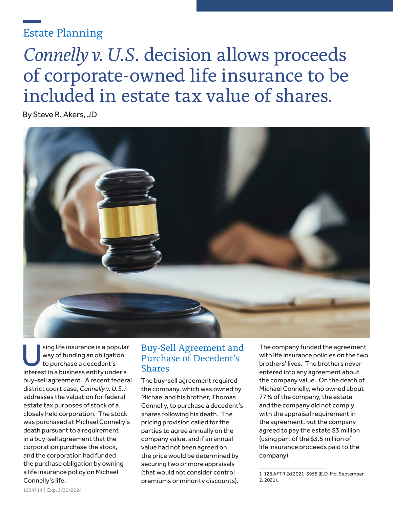### Estate Planning

# *Connelly v. U.S.* decision allows proceeds of corporate-owned life insurance to be included in estate tax value of shares.

By Steve R. Akers, JD



Sing life insurance is a popular<br>way of funding an obligation<br>to purchase a decedent's way of funding an obligation to purchase a decedent's interest in a business entity under a buy-sell agreement. A recent federal district court case, *Connelly v. U.S.*, 1 addresses the valuation for federal estate tax purposes of stock of a closely held corporation. The stock was purchased at Michael Connelly's death pursuant to a requirement in a buy-sell agreement that the corporation purchase the stock, and the corporation had funded the purchase obligation by owning a life insurance policy on Michael Connelly's life.

#### Buy-Sell Agreement and Purchase of Decedent's Shares

The buy-sell agreement required the company, which was owned by Michael and his brother, Thomas Connelly, to purchase a decedent's shares following his death. The pricing provision called for the parties to agree annually on the company value, and if an annual value had not been agreed on, the price would be determined by securing two or more appraisals (that would not consider control premiums or minority discounts).

The company funded the agreement with life insurance policies on the two brothers' lives. The brothers never entered into any agreement about the company value. On the death of Michael Connelly, who owned about 77% of the company, the estate and the company did not comply with the appraisal requirement in the agreement, but the company agreed to pay the estate \$3 million (using part of the \$3.5 million of life insurance proceeds paid to the company).

<sup>1 128</sup> AFTR 2d 2021-5955 (E.D. Mo. September 2, 2021).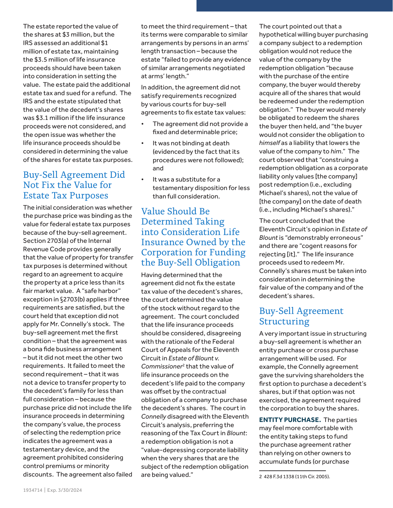The estate reported the value of the shares at \$3 million, but the IRS assessed an additional \$1 million of estate tax, maintaining the \$3.5 million of life insurance proceeds should have been taken into consideration in setting the value. The estate paid the additional estate tax and sued for a refund. The IRS and the estate stipulated that the value of the decedent's shares was \$3.1 million if the life insurance proceeds were not considered, and the open issue was whether the life insurance proceeds should be considered in determining the value of the shares for estate tax purposes.

#### Buy-Sell Agreement Did Not Fix the Value for Estate Tax Purposes

The initial consideration was whether the purchase price was binding as the value for federal estate tax purposes because of the buy-sell agreement. Section 2703(a) of the Internal Revenue Code provides generally that the value of property for transfer tax purposes is determined without regard to an agreement to acquire the property at a price less than its fair market value. A "safe harbor" exception in §2703(b) applies if three requirements are satisfied, but the court held that exception did not apply for Mr. Connelly's stock. The buy-sell agreement met the first condition – that the agreement was a bona fide business arrangement – but it did not meet the other two requirements. It failed to meet the second requirement – that it was not a device to transfer property to the decedent's family for less than full consideration – because the purchase price did not include the life insurance proceeds in determining the company's value, the process of selecting the redemption price indicates the agreement was a testamentary device, and the agreement prohibited considering control premiums or minority discounts. The agreement also failed

to meet the third requirement – that its terms were comparable to similar arrangements by persons in an arms' length transaction – because the estate "failed to provide any evidence of similar arrangements negotiated at arms' length."

In addition, the agreement did not satisfy requirements recognized by various courts for buy-sell agreements to fix estate tax values:

- The agreement did not provide a fixed and determinable price;
- It was not binding at death (evidenced by the fact that its procedures were not followed); and
- It was a substitute for a testamentary disposition for less than full consideration.

#### Value Should Be Determined Taking into Consideration Life Insurance Owned by the Corporation for Funding the Buy-Sell Obligation

Having determined that the agreement did not fix the estate tax value of the decedent's shares, the court determined the value of the stock without regard to the agreement. The court concluded that the life insurance proceeds should be considered, disagreeing with the rationale of the Federal Court of Appeals for the Eleventh Circuit in *Estate of Blount v.*  Commissioner<sup>2</sup> that the value of life insurance proceeds on the decedent's life paid to the company was offset by the contractual obligation of a company to purchase the decedent's shares. The court in *Connelly* disagreed with the Eleventh Circuit's analysis, preferring the reasoning of the Tax Court in *Blount*: a redemption obligation is not a "value-depressing corporate liability when the very shares that are the subject of the redemption obligation are being valued."

The court pointed out that a hypothetical willing buyer purchasing a company subject to a redemption obligation would not reduce the value of the company by the redemption obligation "because with the purchase of the entire company, the buyer would thereby acquire all of the shares that would be redeemed under the redemption obligation." The buyer would merely be obligated to redeem the shares the buyer then held, and "the buyer would not consider the obligation to *himself* as a liability that lowers the value of the company to *him*." The court observed that "construing a redemption obligation as a corporate liability only values [the company] post redemption (i.e., excluding Michael's shares), not the value of [the company] on the date of death (i.e., including Michael's shares)."

The court concluded that the Eleventh Circuit's opinion in *Estate of Blount* is "demonstrably erroneous" and there are "cogent reasons for rejecting [it]." The life insurance proceeds used to redeem Mr. Connelly's shares must be taken into consideration in determining the fair value of the company and of the decedent's shares.

#### Buy-Sell Agreement **Structuring**

A very important issue in structuring a buy-sell agreement is whether an entity purchase or cross purchase arrangement will be used. For example, the Connelly agreement gave the surviving shareholders the first option to purchase a decedent's shares, but if that option was not exercised, the agreement required the corporation to buy the shares.

**ENTITY PURCHASE.** The parties may feel more comfortable with the entity taking steps to fund the purchase agreement rather than relying on other owners to accumulate funds (or purchase

<sup>2</sup> 428 F.3d 1338 (11th Cir. 2005).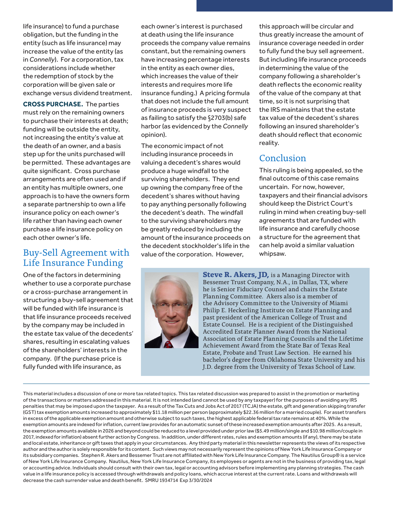life insurance) to fund a purchase obligation, but the funding in the entity (such as life insurance) may increase the value of the entity (as in *Connelly*). For a corporation, tax considerations include whether the redemption of stock by the corporation will be given sale or exchange versus dividend treatment.

**CROSS PURCHASE.** The parties must rely on the remaining owners to purchase their interests at death; funding will be outside the entity, not increasing the entity's value at the death of an owner, and a basis step up for the units purchased will be permitted. These advantages are quite significant. Cross purchase arrangements are often used and if an entity has multiple owners, one approach is to have the owners form a separate partnership to own a life insurance policy on each owner's life rather than having each owner purchase a life insurance policy on each other owner's life.

#### Buy-Sell Agreement with Life Insurance Funding

One of the factors in determining whether to use a corporate purchase or a cross-purchase arrangement in structuring a buy-sell agreement that will be funded with life insurance is that life insurance proceeds received by the company may be included in the estate tax value of the decedents' shares, resulting in escalating values of the shareholders' interests in the company. (If the purchase price is fully funded with life insurance, as

each owner's interest is purchased at death using the life insurance proceeds the company value remains constant, but the remaining owners have increasing percentage interests in the entity as each owner dies, which increases the value of their interests and requires more life insurance funding.) A pricing formula that does not include the full amount of insurance proceeds is very suspect as failing to satisfy the §2703(b) safe harbor (as evidenced by the *Connelly* opinion).

The economic impact of not including insurance proceeds in valuing a decedent's shares would produce a huge windfall to the surviving shareholders. They end up owning the company free of the decedent's shares without having to pay anything personally following the decedent's death. The windfall to the surviving shareholders may be greatly reduced by including the amount of the insurance proceeds on the decedent stockholder's life in the value of the corporation. However,

this approach will be circular and thus greatly increase the amount of insurance coverage needed in order to fully fund the buy sell agreement. But including life insurance proceeds in determining the value of the company following a shareholder's death reflects the economic reality of the value of the company at that time, so it is not surprising that the IRS maintains that the estate tax value of the decedent's shares following an insured shareholder's death should reflect that economic reality.

#### **Conclusion**

This ruling is being appealed, so the final outcome of this case remains uncertain. For now, however, taxpayers and their financial advisors should keep the District Court's ruling in mind when creating buy-sell agreements that are funded with life insurance and carefully choose a structure for the agreement that can help avoid a similar valuation whipsaw.



**Steve R. Akers, JD, is a Managing Director with** Bessemer Trust Company, N.A., in Dallas, TX, where he is Senior Fiduciary Counsel and chairs the Estate Planning Committee. Akers also is a member of the Advisory Committee to the University of Miami Philip E. Heckerling Institute on Estate Planning and past president of the American College of Trust and Estate Counsel. He is a recipient of the Distinguished Accredited Estate Planner Award from the National Association of Estate Planning Councils and the Lifetime Achievement Award from the State Bar of Texas Real Estate, Probate and Trust Law Section. He earned his bachelor's degree from Oklahoma State University and his J.D. degree from the University of Texas School of Law.

This material includes a discussion of one or more tax related topics. This tax related discussion was prepared to assist in the promotion or marketing of the transactions or matters addressed in this material. It is not intended (and cannot be used by any taxpayer) for the purposes of avoiding any IRS penalties that may be imposed upon the taxpayer. As a result of the Tax Cuts and Jobs Act of 2017 (TCJA) the estate, gift and generation skipping transfer (GST) tax exemption amounts increased to approximately \$11.18 million per person (approximately \$22.36 million for a married couple). For asset transfers in excess of the applicable exemption amount and otherwise subject to such taxes, the highest applicable federal tax rate remains at 40%. While the exemption amounts are indexed for inflation, current law provides for an automatic sunset of these increased exemption amounts after 2025. As a result, the exemption amounts available in 2026 and beyond could be reduced to a level provided under prior law (\$5.49 million/single and \$10.98 million/couple in 2017, indexed for inflation) absent further action by Congress. In addition, under different rates, rules and exemption amounts (if any), there may be state and local estate, inheritance or gift taxes that apply in your circumstances. Any third party material in this newsletter represents the views of its respective author and the author is solely responsible for its content. Such views may not necessarily represent the opinions of New York Life Insurance Company or its subsidiary companies. Stephen R. Akers and Bessemer Trust are not affiliated with New York Life Insurance Company. The Nautilus Group® is a service of New York Life Insurance Company. Nautilus, New York Life Insurance Company, its employees or agents are not in the business of providing tax, legal or accounting advice. Individuals should consult with their own tax, legal or accounting advisors before implementing any planning strategies. The cash value in a life insurance policy is accessed through withdrawals and policy loans, which accrue interest at the current rate. Loans and withdrawals will decrease the cash surrender value and death benefit. SMRU 1934714 Exp 3/30/2024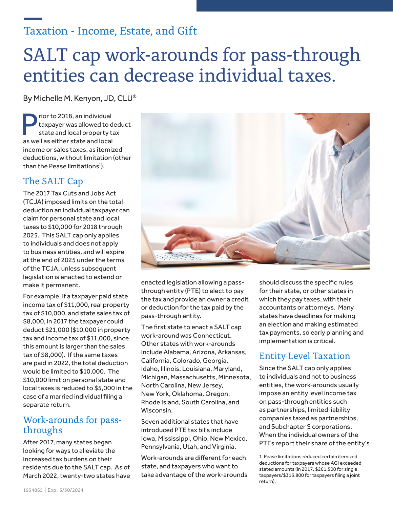### Taxation - Income, Estate, and Gift

## SALT cap work-arounds for pass-through entities can decrease individual taxes.

By Michelle M. Kenyon, JD, CLU®

rior to 2018, an individual taxpayer was allowed to deduct state and local property tax as well as either state and local income or sales taxes, as itemized deductions, without limitation (other than the Pease limitations<sup>1</sup>).

#### The SALT Cap

The 2017 Tax Cuts and Jobs Act (TCJA) imposed limits on the total deduction an individual taxpayer can claim for personal state and local taxes to \$10,000 for 2018 through 2025. This SALT cap only applies to individuals and does not apply to business entities, and will expire at the end of 2025 under the terms of the TCJA, unless subsequent legislation is enacted to extend or make it permanent.

For example, if a taxpayer paid state income tax of \$11,000, real property tax of \$10,000, and state sales tax of \$8,000, in 2017 the taxpayer could deduct \$21,000 (\$10,000 in property tax and income tax of \$11,000, since this amount is larger than the sales tax of \$8,000). If the same taxes are paid in 2022, the total deduction would be limited to \$10,000. The \$10,000 limit on personal state and local taxes is reduced to \$5,000 in the case of a married individual filing a separate return.

#### Work-arounds for passthroughs

After 2017, many states began looking for ways to alleviate the increased tax burdens on their residents due to the SALT cap. As of March 2022, twenty-two states have



enacted legislation allowing a passthrough entity (PTE) to elect to pay the tax and provide an owner a credit or deduction for the tax paid by the pass-through entity.

The first state to enact a SALT cap work-around was Connecticut. Other states with work-arounds include Alabama, Arizona, Arkansas, California, Colorado, Georgia, Idaho, Illinois, Louisiana, Maryland, Michigan, Massachusetts, Minnesota, North Carolina, New Jersey, New York, Oklahoma, Oregon, Rhode Island, South Carolina, and Wisconsin.

Seven additional states that have introduced PTE tax bills include Iowa, Mississippi, Ohio, New Mexico, Pennsylvania, Utah, and Virginia.

Work-arounds are different for each state, and taxpayers who want to take advantage of the work-arounds should discuss the specific rules for their state, or other states in which they pay taxes, with their accountants or attorneys. Many states have deadlines for making an election and making estimated tax payments, so early planning and implementation is critical.

#### Entity Level Taxation

Since the SALT cap only applies to individuals and not to business entities, the work-arounds usually impose an entity level income tax on pass-through entities such as partnerships, limited liability companies taxed as partnerships, and Subchapter S corporations. When the individual owners of the PTEs report their share of the entity's

<sup>1</sup> Pease limitations reduced certain itemized deductions for taxpayers whose AGI exceeded stated amounts (in 2017, \$261,500 for single taxpayers/\$313,800 for taxpayers filing a joint return).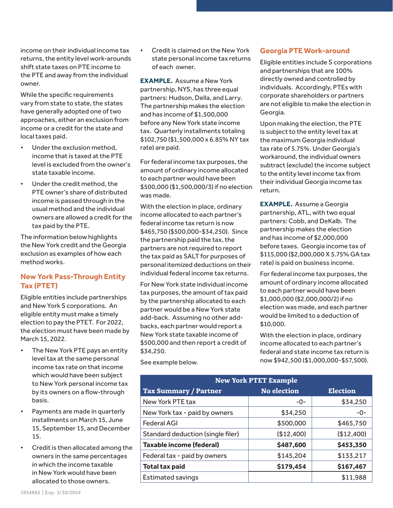income on their individual income tax returns, the entity level work-arounds shift state taxes on PTE income to the PTE and away from the individual owner.

While the specific requirements vary from state to state, the states have generally adopted one of two approaches, either an exclusion from income or a credit for the state and local taxes paid.

- Under the exclusion method, income that is taxed at the PTE level is excluded from the owner's state taxable income.
- Under the credit method, the PTE owner's share of distributed income is passed through in the usual method and the individual owners are allowed a credit for the tax paid by the PTE.

The information below highlights the New York credit and the Georgia exclusion as examples of how each method works.

#### **New York Pass-Through Entity Tax (PTET)**

Eligible entities include partnerships and New York S corporations. An eligible entity must make a timely election to pay the PTET. For 2022, the election must have been made by March 15, 2022.

- The New York PTE pays an entity level tax at the same personal income tax rate on that income which would have been subject to New York personal income tax by its owners on a flow-through basis.
- Payments are made in quarterly installments on March 15, June 15, September 15, and December 15.
- Credit is then allocated among the owners in the same percentages in which the income taxable in New York would have been allocated to those owners.

• Credit is claimed on the New York state personal income tax returns of each owner.

**EXAMPLE.** Assume a New York partnership, NYS, has three equal partners: Hudson, Della, and Larry. The partnership makes the election and has income of \$1,500,000 before any New York state income tax. Quarterly installments totaling \$102,750 (\$1,500,000 x 6.85% NY tax rate) are paid.

For federal income tax purposes, the amount of ordinary income allocated to each partner would have been \$500,000 (\$1,500,000/3) if no election was made.

With the election in place, ordinary income allocated to each partner's federal income tax return is now \$465,750 (\$500,000-\$34,250). Since the partnership paid the tax, the partners are not required to report the tax paid as SALT for purposes of personal itemized deductions on their individual federal income tax returns.

For New York state individual income tax purposes, the amount of tax paid by the partnership allocated to each partner would be a New York state add-back. Assuming no other addbacks, each partner would report a New York state taxable income of \$500,000 and then report a credit of \$34,250.

**Georgia PTE Work-around**

Eligible entities include S corporations and partnerships that are 100% directly owned and controlled by individuals. Accordingly, PTEs with corporate shareholders or partners are not eligible to make the election in Georgia.

Upon making the election, the PTE is subject to the entity level tax at the maximum Georgia individual tax rate of 5.75%. Under Georgia's workaround, the individual owners subtract (exclude) the income subject to the entity level income tax from their individual Georgia income tax return.

**EXAMPLE.** Assume a Georgia partnership, ATL, with two equal partners: Cobb, and DeKalb. The partnership makes the election and has income of \$2,000,000 before taxes. Georgia income tax of \$115,000 (\$2,000,000 X 5.75% GA tax rate) is paid on business income.

For federal income tax purposes, the amount of ordinary income allocated to each partner would have been \$1,000,000 (\$2,000,000/2) if no election was made, and each partner would be limited to a deduction of \$10,000.

With the election in place, ordinary income allocated to each partner's federal and state income tax return is now \$942,500 (\$1,000,000-\$57,500).

| <b>New York PTET Example</b>      |                    |                 |  |
|-----------------------------------|--------------------|-----------------|--|
| <b>Tax Summary / Partner</b>      | <b>No election</b> | <b>Election</b> |  |
| New York PTE tax                  | $-0-$              | \$34,250        |  |
| New York tax - paid by owners     | \$34,250           | $-0-$           |  |
| <b>Federal AGI</b>                | \$500,000          | \$465,750       |  |
| Standard deduction (single filer) | (\$12,400)         | (\$12,400)      |  |
| <b>Taxable income (federal)</b>   | \$487,600          | \$453,350       |  |
| Federal tax - paid by owners      | \$145,204          | \$133,217       |  |
| <b>Total tax paid</b>             | \$179,454          | \$167,467       |  |
| <b>Estimated savings</b>          |                    | \$11,988        |  |

See example below.